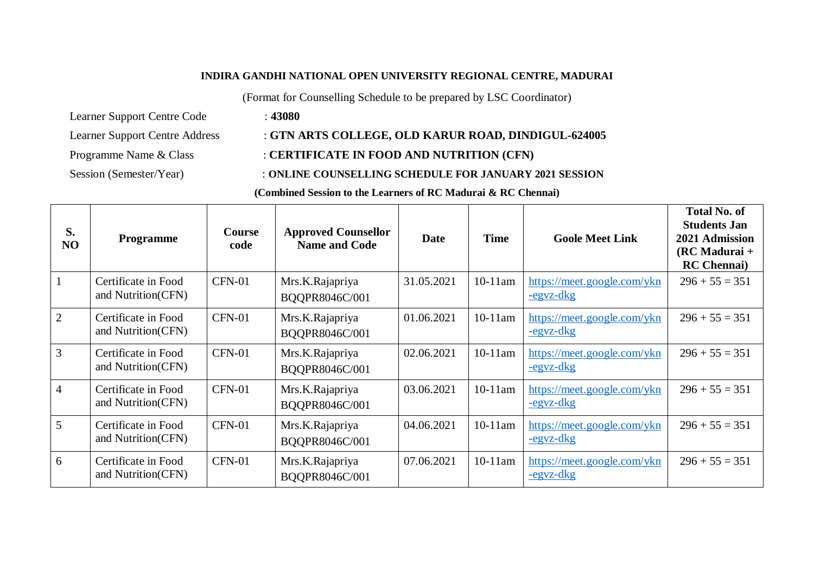#### **INDIRA GANDHI NATIONAL OPEN UNIVERSITY REGIONAL CENTRE, MADURAI**

(Format for Counselling Schedule to be prepared by LSC Coordinator)

Learner Support Centre Code : **43080**

# Learner Support Centre Address : **GTN ARTS COLLEGE, OLD KARUR ROAD, DINDIGUL-624005**

# Programme Name & Class : **CERTIFICATE IN FOOD AND NUTRITION (CFN)**

## Session (Semester/Year) : **ONLINE COUNSELLING SCHEDULE FOR JANUARY 2021 SESSION**

**(Combined Session to the Learners of RC Madurai & RC Chennai)**

| S.<br>NO       | <b>Programme</b>                          | <b>Course</b><br>code | <b>Approved Counsellor</b><br><b>Name and Code</b> | Date       | <b>Time</b> | <b>Goole Meet Link</b>                          | <b>Total No. of</b><br><b>Students Jan</b><br>2021 Admission<br>$(RCMadurai +$<br><b>RC</b> Chennai) |
|----------------|-------------------------------------------|-----------------------|----------------------------------------------------|------------|-------------|-------------------------------------------------|------------------------------------------------------------------------------------------------------|
| $\overline{1}$ | Certificate in Food<br>and Nutrition(CFN) | $CFN-01$              | Mrs.K.Rajapriya<br>BQQPR8046C/001                  | 31.05.2021 | $10-11$ am  | https://meet.google.com/ykn<br><u>-egyz-dkg</u> | $296 + 55 = 351$                                                                                     |
| 2              | Certificate in Food<br>and Nutrition(CFN) | <b>CFN-01</b>         | Mrs.K.Rajapriya<br>BQQPR8046C/001                  | 01.06.2021 | $10-11$ am  | https://meet.google.com/ykn<br>$-egvz-dkg$      | $296 + 55 = 351$                                                                                     |
| $\overline{3}$ | Certificate in Food<br>and Nutrition(CFN) | <b>CFN-01</b>         | Mrs.K.Rajapriya<br>BQQPR8046C/001                  | 02.06.2021 | $10-11$ am  | https://meet.google.com/ykn<br><u>-egyz-dkg</u> | $296 + 55 = 351$                                                                                     |
| $\overline{4}$ | Certificate in Food<br>and Nutrition(CFN) | CFN-01                | Mrs.K.Rajapriya<br>BQQPR8046C/001                  | 03.06.2021 | $10-11$ am  | https://meet.google.com/ykn<br><u>-egyz-dkg</u> | $296 + 55 = 351$                                                                                     |
| $\overline{5}$ | Certificate in Food<br>and Nutrition(CFN) | $CFN-01$              | Mrs.K.Rajapriya<br>BQQPR8046C/001                  | 04.06.2021 | $10-11$ am  | https://meet.google.com/ykn<br><u>-egyz-dkg</u> | $296 + 55 = 351$                                                                                     |
| 6              | Certificate in Food<br>and Nutrition(CFN) | <b>CFN-01</b>         | Mrs.K.Rajapriya<br>BQQPR8046C/001                  | 07.06.2021 | $10-11$ am  | https://meet.google.com/ykn<br>$-egvz-dkg$      | $296 + 55 = 351$                                                                                     |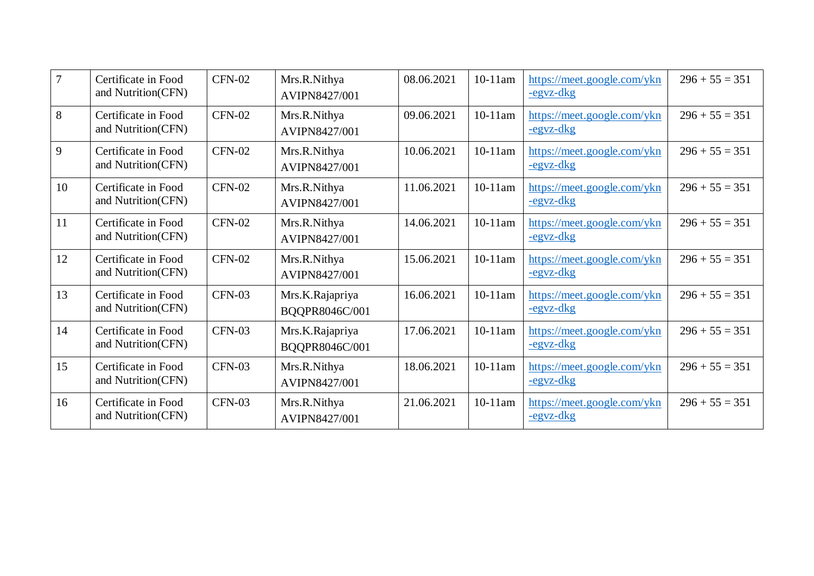| $7^{\circ}$ | Certificate in Food<br>and Nutrition(CFN) | $CFN-02$      | Mrs.R.Nithya<br>AVIPN8427/001        | 08.06.2021 | $10-11$ am | https://meet.google.com/ykn<br>-egyz-dkg        | $296 + 55 = 351$ |
|-------------|-------------------------------------------|---------------|--------------------------------------|------------|------------|-------------------------------------------------|------------------|
| 8           | Certificate in Food<br>and Nutrition(CFN) | <b>CFN-02</b> | Mrs.R.Nithya<br><b>AVIPN8427/001</b> | 09.06.2021 | $10-11$ am | https://meet.google.com/ykn<br>-egyz-dkg        | $296 + 55 = 351$ |
| 9           | Certificate in Food<br>and Nutrition(CFN) | <b>CFN-02</b> | Mrs.R.Nithya<br>AVIPN8427/001        | 10.06.2021 | $10-11$ am | https://meet.google.com/ykn<br>-egyz-dkg        | $296 + 55 = 351$ |
| 10          | Certificate in Food<br>and Nutrition(CFN) | $CFN-02$      | Mrs.R.Nithya<br>AVIPN8427/001        | 11.06.2021 | $10-11$ am | https://meet.google.com/ykn<br>-egyz-dkg        | $296 + 55 = 351$ |
| 11          | Certificate in Food<br>and Nutrition(CFN) | $CFN-02$      | Mrs.R.Nithya<br>AVIPN8427/001        | 14.06.2021 | $10-11$ am | https://meet.google.com/ykn<br><u>-egyz-dkg</u> | $296 + 55 = 351$ |
| 12          | Certificate in Food<br>and Nutrition(CFN) | <b>CFN-02</b> | Mrs.R.Nithya<br>AVIPN8427/001        | 15.06.2021 | $10-11$ am | https://meet.google.com/ykn<br><u>-egyz-dkg</u> | $296 + 55 = 351$ |
| 13          | Certificate in Food<br>and Nutrition(CFN) | $CFN-03$      | Mrs.K.Rajapriya<br>BQQPR8046C/001    | 16.06.2021 | $10-11$ am | https://meet.google.com/ykn<br>-egyz-dkg        | $296 + 55 = 351$ |
| 14          | Certificate in Food<br>and Nutrition(CFN) | $CFN-03$      | Mrs.K.Rajapriya<br>BQQPR8046C/001    | 17.06.2021 | $10-11$ am | https://meet.google.com/ykn<br><u>-egvz-dkg</u> | $296 + 55 = 351$ |
| 15          | Certificate in Food<br>and Nutrition(CFN) | $CFN-03$      | Mrs.R.Nithya<br>AVIPN8427/001        | 18.06.2021 | $10-11$ am | https://meet.google.com/ykn<br><u>-egyz-dkg</u> | $296 + 55 = 351$ |
| 16          | Certificate in Food<br>and Nutrition(CFN) | $CFN-03$      | Mrs.R.Nithya<br>AVIPN8427/001        | 21.06.2021 | $10-11$ am | https://meet.google.com/ykn<br><u>-egyz-dkg</u> | $296 + 55 = 351$ |